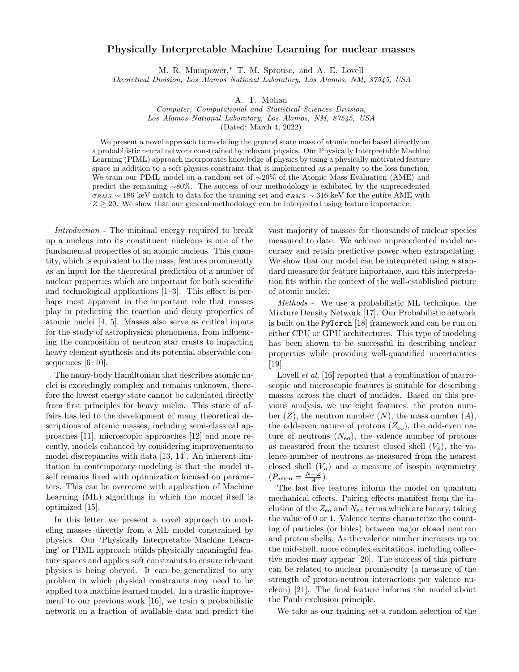## Physically Interpretable Machine Learning for nuclear masses

M. R. Mumpower,<sup>∗</sup> T. M. Sprouse, and A. E. Lovell

Theoretical Division, Los Alamos National Laboratory, Los Alamos, NM, 87545, USA

A. T. Mohan

Computer, Computational and Statistical Sciences Division, Los Alamos National Laboratory, Los Alamos, NM, 87545, USA

(Dated: March 4, 2022)

We present a novel approach to modeling the ground state mass of atomic nuclei based directly on a probabilistic neural network constrained by relevant physics. Our Physically Interpretable Machine Learning (PIML) approach incorporates knowledge of physics by using a physically motivated feature space in addition to a soft physics constraint that is implemented as a penalty to the loss function. We train our PIML model on a random set of ∼20% of the Atomic Mass Evaluation (AME) and predict the remaining ∼80%. The success of our methodology is exhibited by the unprecedented  $\sigma_{RMS} \sim 186$  keV match to data for the training set and  $\sigma_{RMS} \sim 316$  keV for the entire AME with  $Z \geq 20$ . We show that our general methodology can be interpreted using feature importance.

Introduction - The minimal energy required to break up a nucleus into its constituent nucleons is one of the fundamental properties of an atomic nucleus. This quantity, which is equivalent to the mass, features prominently as an input for the theoretical prediction of a number of nuclear properties which are important for both scientific and technological applications [1–3]. This effect is perhaps most apparent in the important role that masses play in predicting the reaction and decay properties of atomic nuclei [4, 5]. Masses also serve as critical inputs for the study of astrophysical phenomena, from influencing the composition of neutron star crusts to impacting heavy element synthesis and its potential observable consequences [6–10].

The many-body Hamiltonian that describes atomic nuclei is exceedingly complex and remains unknown, therefore the lowest energy state cannot be calculated directly from first principles for heavy nuclei. This state of affairs has led to the development of many theoretical descriptions of atomic masses, including semi-classical approaches [11], microscopic approaches [12] and more recently, models enhanced by considering improvements to model discrepancies with data [13, 14]. An inherent limitation in contemporary modeling is that the model itself remains fixed with optimization focused on parameters. This can be overcome with application of Machine Learning (ML) algorithms in which the model itself is optimized [15].

In this letter we present a novel approach to modeling masses directly from a ML model constrained by physics. Our 'Physically Interpretable Machine Learning' or PIML approach builds physically meaningful feature spaces and applies soft constraints to ensure relevant physics is being obeyed. It can be generalized to any problem in which physical constraints may need to be applied to a machine learned model. In a drastic improvement to our previous work [16], we train a probabilistic network on a fraction of available data and predict the

vast majority of masses for thousands of nuclear species measured to date. We achieve unprecedented model accuracy and retain predictive power when extrapolating. We show that our model can be interpreted using a standard measure for feature importance, and this interpretation fits within the context of the well-established picture of atomic nuclei.

Methods - We use a probabilistic ML technique, the Mixture Density Network [17]. Our Probabilistic network is built on the PyTorch [18] framework and can be run on either CPU or GPU architectures. This type of modeling has been shown to be successful in describing nuclear properties while providing well-quantified uncertainties [19].

Lovell *et al.* [16] reported that a combination of macroscopic and microscopic features is suitable for describing masses across the chart of nuclides. Based on this previous analysis, we use eight features: the proton number  $(Z)$ , the neutron number  $(N)$ , the mass number  $(A)$ , the odd-even nature of protons  $(Z_{\rm eo})$ , the odd-even nature of neutrons  $(N_{\rm eo})$ , the valence number of protons as measured from the nearest closed shell  $(V_p)$ , the valence number of neutrons as measured from the nearest closed shell  $(V_n)$  and a measure of isospin asymmetry  $(P_{\text{asym}} = \frac{N-Z}{A}).$ 

The last five features inform the model on quantum mechanical effects. Pairing effects manifest from the inclusion of the  $Z_{\text{eo}}$  and  $N_{\text{eo}}$  terms which are binary, taking the value of 0 or 1. Valence terms characterize the counting of particles (or holes) between major closed neutron and proton shells. As the valence number increases up to the mid-shell, more complex excitations, including collective modes may appear [20]. The success of this picture can be related to nuclear promiscuity (a measure of the strength of proton-neutron interactions per valence nucleon) [21]. The final feature informs the model about the Pauli exclusion principle.

We take as our training set a random selection of the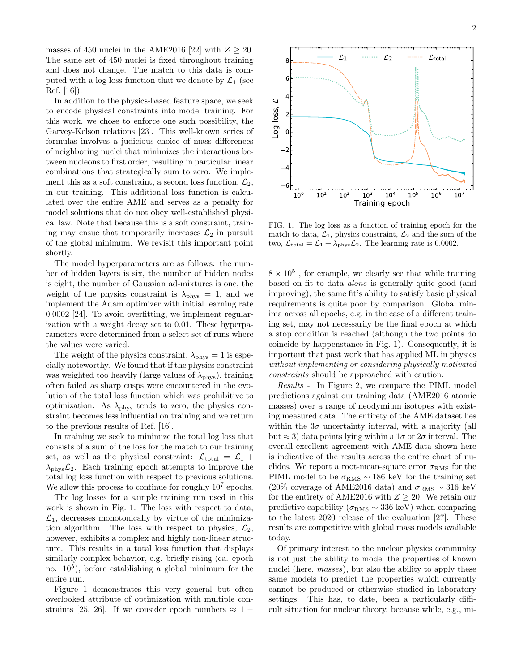masses of 450 nuclei in the AME2016 [22] with  $Z \geq 20$ . The same set of 450 nuclei is fixed throughout training and does not change. The match to this data is computed with a log loss function that we denote by  $\mathcal{L}_1$  (see Ref. [16]).

In addition to the physics-based feature space, we seek to encode physical constraints into model training. For this work, we chose to enforce one such possibility, the Garvey-Kelson relations [23]. This well-known series of formulas involves a judicious choice of mass differences of neighboring nuclei that minimizes the interactions between nucleons to first order, resulting in particular linear combinations that strategically sum to zero. We implement this as a soft constraint, a second loss function,  $\mathcal{L}_2$ , in our training. This additional loss function is calculated over the entire AME and serves as a penalty for model solutions that do not obey well-established physical law. Note that because this is a soft constraint, training may ensue that temporarily increases  $\mathcal{L}_2$  in pursuit of the global minimum. We revisit this important point shortly.

The model hyperparameters are as follows: the number of hidden layers is six, the number of hidden nodes is eight, the number of Gaussian ad-mixtures is one, the weight of the physics constraint is  $\lambda_{\rm phys} = 1$ , and we implement the Adam optimizer with initial learning rate 0.0002 [24]. To avoid overfitting, we implement regularization with a weight decay set to 0.01. These hyperparameters were determined from a select set of runs where the values were varied.

The weight of the physics constraint,  $\lambda_{\text{phys}} = 1$  is especially noteworthy. We found that if the physics constraint was weighted too heavily (large values of  $\lambda_{\rm phys}$ ), training often failed as sharp cusps were encountered in the evolution of the total loss function which was prohibitive to optimization. As  $\lambda_{\rm phys}$  tends to zero, the physics constraint becomes less influential on training and we return to the previous results of Ref. [16].

In training we seek to minimize the total log loss that consists of a sum of the loss for the match to our training set, as well as the physical constraint:  $\mathcal{L}_{total} = \mathcal{L}_1 +$  $\lambda_{\text{phys}}\mathcal{L}_2$ . Each training epoch attempts to improve the total log loss function with respect to previous solutions. We allow this process to continue for roughly  $10^7$  epochs.

The log losses for a sample training run used in this work is shown in Fig. 1. The loss with respect to data,  $\mathcal{L}_1$ , decreases monotonically by virtue of the minimization algorithm. The loss with respect to physics,  $\mathcal{L}_2$ , however, exhibits a complex and highly non-linear structure. This results in a total loss function that displays similarly complex behavior, e.g. briefly rising (ca. epoch no.  $10^5$ ), before establishing a global minimum for the entire run.

Figure 1 demonstrates this very general but often overlooked attribute of optimization with multiple constraints [25, 26]. If we consider epoch numbers  $\approx 1$  –



 $\mathcal{L}_1$  .......  $\mathcal{L}_2$  ---  $\mathcal{L}_{total}$ 

0

Log lo ss,

 $\overline{\mathcal{L}}$ 

2

6

4 F

8⊧–

FIG. 1. The log loss as a function of training epoch for the match to data,  $\mathcal{L}_1$ , physics constraint,  $\mathcal{L}_2$  and the sum of the two,  $\mathcal{L}_{\text{total}} = \mathcal{L}_1 + \lambda_{\text{phys}} \mathcal{L}_2$ . The learning rate is 0.0002.

 $8 \times 10^5$ , for example, we clearly see that while training based on fit to data alone is generally quite good (and improving), the same fit's ability to satisfy basic physical requirements is quite poor by comparison. Global minima across all epochs, e.g. in the case of a different training set, may not necessarily be the final epoch at which a stop condition is reached (although the two points do coincide by happenstance in Fig. 1). Consequently, it is important that past work that has applied ML in physics without implementing or considering physically motivated constraints should be approached with caution.

Results - In Figure 2, we compare the PIML model predictions against our training data (AME2016 atomic masses) over a range of neodymium isotopes with existing measured data. The entirety of the AME dataset lies within the  $3\sigma$  uncertainty interval, with a majority (all but  $\approx$  3) data points lying within a  $1\sigma$  or  $2\sigma$  interval. The overall excellent agreement with AME data shown here is indicative of the results across the entire chart of nuclides. We report a root-mean-square error  $\sigma_{RMS}$  for the PIML model to be  $\sigma_{\rm RMS} \sim 186$  keV for the training set (20% coverage of AME2016 data) and  $\sigma_{RMS} \sim 316 \text{ keV}$ for the entirety of AME2016 with  $Z \geq 20$ . We retain our predictive capability ( $\sigma_{\rm RMS} \sim 336 \text{ keV}$ ) when comparing to the latest 2020 release of the evaluation [27]. These results are competitive with global mass models available today.

Of primary interest to the nuclear physics community is not just the ability to model the properties of known nuclei (here, *masses*), but also the ability to apply these same models to predict the properties which currently cannot be produced or otherwise studied in laboratory settings. This has, to date, been a particularly difficult situation for nuclear theory, because while, e.g., mi-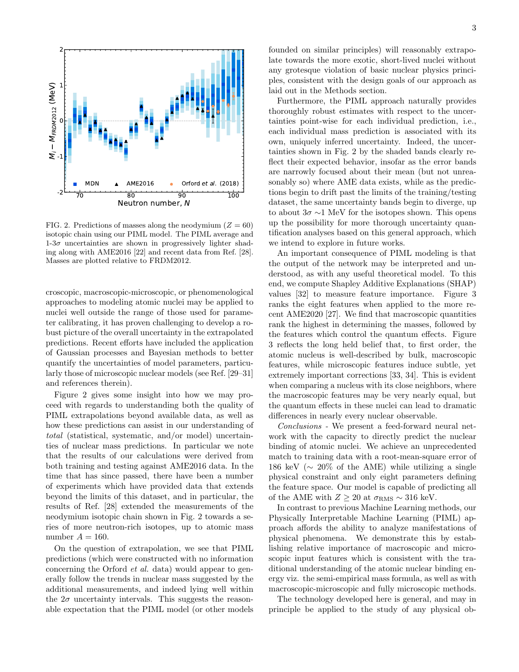

FIG. 2. Predictions of masses along the neodymium ( $Z = 60$ ) isotopic chain using our PIML model. The PIML average and  $1-3\sigma$  uncertainties are shown in progressively lighter shading along with AME2016 [22] and recent data from Ref. [28]. Masses are plotted relative to FRDM2012.

croscopic, macroscopic-microscopic, or phenomenological approaches to modeling atomic nuclei may be applied to nuclei well outside the range of those used for parameter calibrating, it has proven challenging to develop a robust picture of the overall uncertainty in the extrapolated predictions. Recent efforts have included the application of Gaussian processes and Bayesian methods to better quantify the uncertainties of model parameters, particularly those of microscopic nuclear models (see Ref. [29–31] and references therein).

Figure 2 gives some insight into how we may proceed with regards to understanding both the quality of PIML extrapolations beyond available data, as well as how these predictions can assist in our understanding of total (statistical, systematic, and/or model) uncertainties of nuclear mass predictions. In particular we note that the results of our calculations were derived from both training and testing against AME2016 data. In the time that has since passed, there have been a number of experiments which have provided data that extends beyond the limits of this dataset, and in particular, the results of Ref. [28] extended the measurements of the neodymium isotopic chain shown in Fig. 2 towards a series of more neutron-rich isotopes, up to atomic mass number  $A = 160$ .

On the question of extrapolation, we see that PIML predictions (which were constructed with no information concerning the Orford et al. data) would appear to generally follow the trends in nuclear mass suggested by the additional measurements, and indeed lying well within the  $2\sigma$  uncertainty intervals. This suggests the reasonable expectation that the PIML model (or other models

founded on similar principles) will reasonably extrapolate towards the more exotic, short-lived nuclei without any grotesque violation of basic nuclear physics principles, consistent with the design goals of our approach as laid out in the Methods section.

Furthermore, the PIML approach naturally provides thoroughly robust estimates with respect to the uncertainties point-wise for each individual prediction, i.e., each individual mass prediction is associated with its own, uniquely inferred uncertainty. Indeed, the uncertainties shown in Fig. 2 by the shaded bands clearly reflect their expected behavior, insofar as the error bands are narrowly focused about their mean (but not unreasonably so) where AME data exists, while as the predictions begin to drift past the limits of the training/testing dataset, the same uncertainty bands begin to diverge, up to about  $3\sigma \sim 1$  MeV for the isotopes shown. This opens up the possibility for more thorough uncertainty quantification analyses based on this general approach, which we intend to explore in future works.

An important consequence of PIML modeling is that the output of the network may be interpreted and understood, as with any useful theoretical model. To this end, we compute Shapley Additive Explanations (SHAP) values [32] to measure feature importance. Figure 3 ranks the eight features when applied to the more recent AME2020 [27]. We find that macroscopic quantities rank the highest in determining the masses, followed by the features which control the quantum effects. Figure 3 reflects the long held belief that, to first order, the atomic nucleus is well-described by bulk, macroscopic features, while microscopic features induce subtle, yet extremely important corrections [33, 34]. This is evident when comparing a nucleus with its close neighbors, where the macroscopic features may be very nearly equal, but the quantum effects in these nuclei can lead to dramatic differences in nearly every nuclear observable.

Conclusions - We present a feed-forward neural network with the capacity to directly predict the nuclear binding of atomic nuclei. We achieve an unprecedented match to training data with a root-mean-square error of 186 keV ( $\sim 20\%$  of the AME) while utilizing a single physical constraint and only eight parameters defining the feature space. Our model is capable of predicting all of the AME with  $Z \geq 20$  at  $\sigma_{RMS} \sim 316$  keV.

In contrast to previous Machine Learning methods, our Physically Interpretable Machine Learning (PIML) approach affords the ability to analyze manifestations of physical phenomena. We demonstrate this by establishing relative importance of macroscopic and microscopic input features which is consistent with the traditional understanding of the atomic nuclear binding energy viz. the semi-empirical mass formula, as well as with macroscopic-microscopic and fully microscopic methods.

The technology developed here is general, and may in principle be applied to the study of any physical ob-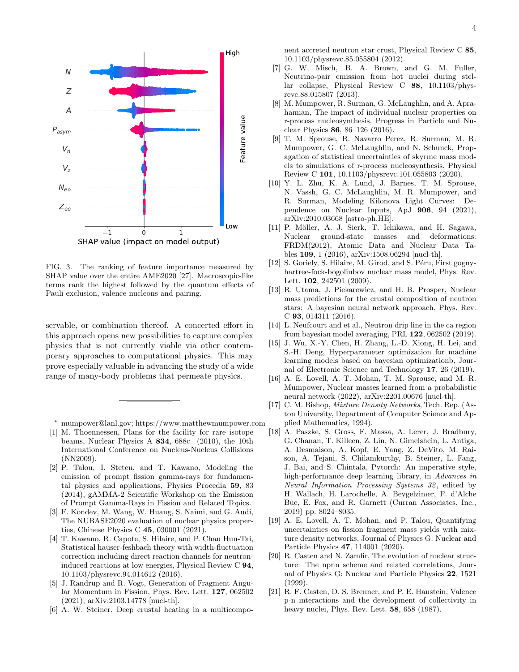

FIG. 3. The ranking of feature importance measured by SHAP value over the entire AME2020 [27]. Macroscopic-like terms rank the highest followed by the quantum effects of Pauli exclusion, valence nucleons and pairing.

servable, or combination thereof. A concerted effort in this approach opens new possibilities to capture complex physics that is not currently viable via other contemporary approaches to computational physics. This may prove especially valuable in advancing the study of a wide range of many-body problems that permeate physics.

- <sup>∗</sup> mumpower@lanl.gov; https://www.matthewmumpower.com
- [1] M. Thoennessen, Plans for the facility for rare isotope beams, Nuclear Physics A 834, 688c (2010), the 10th International Conference on Nucleus-Nucleus Collisions (NN2009).
- [2] P. Talou, I. Stetcu, and T. Kawano, Modeling the emission of prompt fission gamma-rays for fundamental physics and applications, Physics Procedia 59, 83 (2014), gAMMA-2 Scientific Workshop on the Emission of Prompt Gamma-Rays in Fission and Related Topics.
- [3] F. Kondev, M. Wang, W. Huang, S. Naimi, and G. Audi, The NUBASE2020 evaluation of nuclear physics properties, Chinese Physics C 45, 030001 (2021).
- [4] T. Kawano, R. Capote, S. Hilaire, and P. Chau Huu-Tai, Statistical hauser-feshbach theory with width-fluctuation correction including direct reaction channels for neutroninduced reactions at low energies, Physical Review C 94, 10.1103/physrevc.94.014612 (2016).
- [5] J. Randrup and R. Vogt, Generation of Fragment Angular Momentum in Fission, Phys. Rev. Lett. 127, 062502 (2021), arXiv:2103.14778 [nucl-th].
- [6] A. W. Steiner, Deep crustal heating in a multicompo-

nent accreted neutron star crust, Physical Review C 85, 10.1103/physrevc.85.055804 (2012).

- [7] G. W. Misch, B. A. Brown, and G. M. Fuller, Neutrino-pair emission from hot nuclei during stellar collapse, Physical Review C 88, 10.1103/physrevc.88.015807 (2013).
- [8] M. Mumpower, R. Surman, G. McLaughlin, and A. Aprahamian, The impact of individual nuclear properties on r-process nucleosynthesis, Progress in Particle and Nuclear Physics 86, 86–126 (2016).
- [9] T. M. Sprouse, R. Navarro Perez, R. Surman, M. R. Mumpower, G. C. McLaughlin, and N. Schunck, Propagation of statistical uncertainties of skyrme mass models to simulations of r-process nucleosynthesis, Physical Review C 101, 10.1103/physrevc.101.055803 (2020).
- [10] Y. L. Zhu, K. A. Lund, J. Barnes, T. M. Sprouse, N. Vassh, G. C. McLaughlin, M. R. Mumpower, and R. Surman, Modeling Kilonova Light Curves: Dependence on Nuclear Inputs, ApJ 906, 94 (2021), arXiv:2010.03668 [astro-ph.HE].
- [11] P. Möller, A. J. Sierk, T. Ichikawa, and H. Sagawa, Nuclear ground-state masses and deformations: FRDM(2012), Atomic Data and Nuclear Data Tables 109, 1 (2016), arXiv:1508.06294 [nucl-th].
- [12] S. Goriely, S. Hilaire, M. Girod, and S. Péru, First gognyhartree-fock-bogoliubov nuclear mass model, Phys. Rev. Lett. 102, 242501 (2009).
- [13] R. Utama, J. Piekarewicz, and H. B. Prosper, Nuclear mass predictions for the crustal composition of neutron stars: A bayesian neural network approach, Phys. Rev. C 93, 014311 (2016).
- [14] L. Neufcourt and et al., Neutron drip line in the ca region from bayesian model averaging, PRL 122, 062502 (2019).
- [15] J. Wu, X.-Y. Chen, H. Zhang, L.-D. Xiong, H. Lei, and S.-H. Deng, Hyperparameter optimization for machine learning models based on bayesian optimizationb, Journal of Electronic Science and Technology 17, 26 (2019).
- [16] A. E. Lovell, A. T. Mohan, T. M. Sprouse, and M. R. Mumpower, Nuclear masses learned from a probabilistic neural network (2022), arXiv:2201.00676 [nucl-th].
- [17] C. M. Bishop, Mixture Density Networks, Tech. Rep. (Aston University, Department of Computer Science and Applied Mathematics, 1994).
- [18] A. Paszke, S. Gross, F. Massa, A. Lerer, J. Bradbury, G. Chanan, T. Killeen, Z. Lin, N. Gimelshein, L. Antiga, A. Desmaison, A. Kopf, E. Yang, Z. DeVito, M. Raison, A. Tejani, S. Chilamkurthy, B. Steiner, L. Fang, J. Bai, and S. Chintala, Pytorch: An imperative style, high-performance deep learning library, in Advances in Neural Information Processing Systems 32 , edited by H. Wallach, H. Larochelle, A. Beygelzimer, F. d'Alche Buc, E. Fox, and R. Garnett (Curran Associates, Inc., 2019) pp. 8024–8035.
- [19] A. E. Lovell, A. T. Mohan, and P. Talou, Quantifying uncertainties on fission fragment mass yields with mixture density networks, Journal of Physics G: Nuclear and Particle Physics 47, 114001 (2020).
- [20] R. Casten and N. Zamfir, The evolution of nuclear structure: The npnn scheme and related correlations, Journal of Physics G: Nuclear and Particle Physics 22, 1521  $(1999)$ .
- [21] R. F. Casten, D. S. Brenner, and P. E. Haustein, Valence p-n interactions and the development of collectivity in heavy nuclei, Phys. Rev. Lett. 58, 658 (1987).